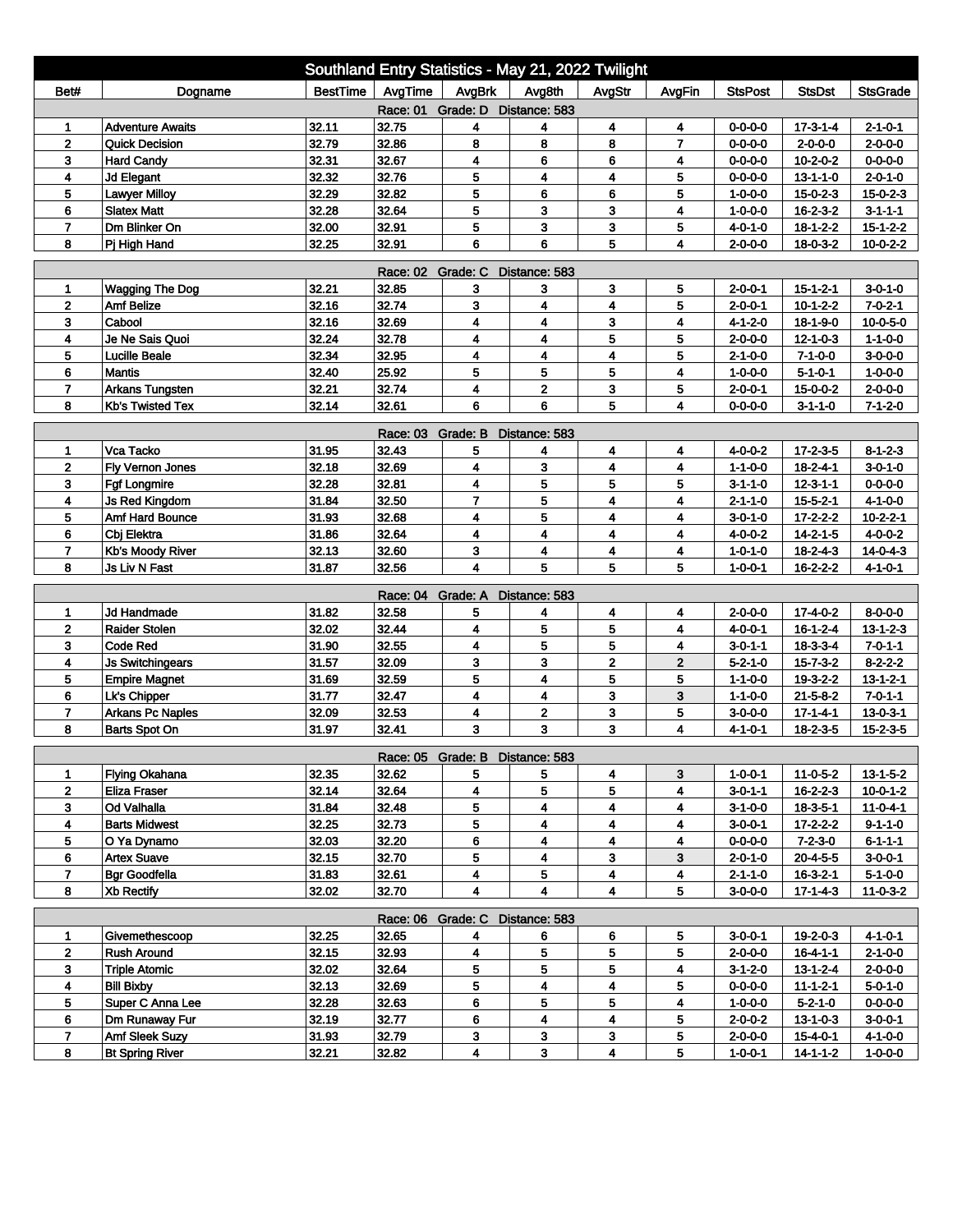| Southland Entry Statistics - May 21, 2022 Twilight |                                         |                 |                   |                                 |                |                         |                |                                    |                                |                                    |  |
|----------------------------------------------------|-----------------------------------------|-----------------|-------------------|---------------------------------|----------------|-------------------------|----------------|------------------------------------|--------------------------------|------------------------------------|--|
| Bet#                                               | Dogname                                 | <b>BestTime</b> | AvgTime           | AvgBrk                          | Avg8th         | AvgStr                  | AvgFin         | <b>StsPost</b>                     | <b>StsDst</b>                  | <b>StsGrade</b>                    |  |
| Race: 01 Grade: D Distance: 583                    |                                         |                 |                   |                                 |                |                         |                |                                    |                                |                                    |  |
| 1                                                  | <b>Adventure Awaits</b>                 | 32.11           | 32.75             | 4                               | 4              | 4                       | 4              | $0 - 0 - 0 - 0$                    | $17 - 3 - 1 - 4$               | $2 - 1 - 0 - 1$                    |  |
| $\overline{2}$                                     | <b>Quick Decision</b>                   | 32.79           | 32.86             | 8                               | 8              | 8                       | $\overline{7}$ | $0 - 0 - 0 - 0$                    | $2 - 0 - 0 - 0$                | $2 - 0 - 0 - 0$                    |  |
| 3                                                  | <b>Hard Candy</b>                       | 32.31           | 32.67             | 4                               | 6              | 6                       | 4              | $0 - 0 - 0 - 0$                    | $10 - 2 - 0 - 2$               | $0 - 0 - 0 - 0$                    |  |
| 4                                                  | <b>Jd Elegant</b>                       | 32.32           | 32.76             | 5                               | 4              | 4                       | 5              | $0 - 0 - 0 - 0$                    | $13 - 1 - 1 - 0$               | $2 - 0 - 1 - 0$                    |  |
| 5                                                  | <b>Lawyer Milloy</b>                    | 32.29           | 32.82             | 5                               | 6              | 6                       | 5              | $1 - 0 - 0 - 0$                    | $15 - 0 - 2 - 3$               | $15 - 0 - 2 - 3$                   |  |
| 6<br>$\overline{7}$                                | <b>Slatex Matt</b><br>Dm Blinker On     | 32.28           | 32.64             | 5<br>5                          | 3<br>3         | 3<br>3                  | 4<br>5         | $1 - 0 - 0 - 0$                    | $16 - 2 - 3 - 2$               | $3 - 1 - 1 - 1$                    |  |
| 8                                                  | Pj High Hand                            | 32.00<br>32.25  | 32.91<br>32.91    | 6                               | 6              | 5                       | 4              | 4-0-1-0<br>$2 - 0 - 0 - 0$         | $18-1-2-2$<br>$18 - 0 - 3 - 2$ | $15 - 1 - 2 - 2$<br>$10-0-2-2$     |  |
|                                                    |                                         |                 |                   |                                 |                |                         |                |                                    |                                |                                    |  |
| Race: 02 Grade: C<br>Distance: 583                 |                                         |                 |                   |                                 |                |                         |                |                                    |                                |                                    |  |
| 1                                                  | <b>Wagging The Dog</b>                  | 32.21           | 32.85             | 3                               | 3              | 3                       | 5              | $2 - 0 - 0 - 1$                    | $15 - 1 - 2 - 1$               | $3 - 0 - 1 - 0$                    |  |
| $\mathbf{2}$                                       | <b>Amf Belize</b>                       | 32.16           | 32.74             | 3                               | 4              | 4                       | 5              | $2 - 0 - 0 - 1$                    | $10 - 1 - 2 - 2$               | $7 - 0 - 2 - 1$                    |  |
| 3                                                  | Cabool                                  | 32.16           | 32.69             | 4                               | 4              | 3                       | 4              | $4 - 1 - 2 - 0$                    | 18-1-9-0                       | $10 - 0 - 5 - 0$                   |  |
| 4                                                  | Je Ne Sais Quoi<br><b>Lucille Beale</b> | 32.24<br>32.34  | 32.78<br>32.95    | 4                               | 4              | 5                       | 5              | $2 - 0 - 0 - 0$                    | $12 - 1 - 0 - 3$               | $1 - 1 - 0 - 0$                    |  |
| 5                                                  | <b>Mantis</b>                           | 32.40           |                   | 4<br>5                          | 4<br>5         | 4<br>5                  | 5<br>4         | $2 - 1 - 0 - 0$                    | $7 - 1 - 0 - 0$                | $3 - 0 - 0 - 0$                    |  |
| 6<br>$\overline{7}$                                | <b>Arkans Tungsten</b>                  | 32.21           | 25.92<br>32.74    | 4                               | $\overline{2}$ | 3                       | 5              | $1 - 0 - 0 - 0$<br>$2 - 0 - 0 - 1$ | $5 - 1 - 0 - 1$<br>15-0-0-2    | $1 - 0 - 0 - 0$<br>$2 - 0 - 0 - 0$ |  |
| 8                                                  | <b>Kb's Twisted Tex</b>                 | 32.14           | 32.61             | 6                               | 6              | 5                       | 4              | 0-0-0-0                            | $3 - 1 - 1 - 0$                | $7 - 1 - 2 - 0$                    |  |
|                                                    |                                         |                 |                   |                                 |                |                         |                |                                    |                                |                                    |  |
|                                                    |                                         |                 | Race: 03 Grade: B |                                 | Distance: 583  |                         |                |                                    |                                |                                    |  |
| 1                                                  | Vca Tacko                               | 31.95           | 32.43             | 5                               | 4              | 4                       | 4              | $4 - 0 - 0 - 2$                    | $17 - 2 - 3 - 5$               | $8 - 1 - 2 - 3$                    |  |
| 2                                                  | Fly Vernon Jones                        | 32.18           | 32.69             | 4                               | 3              | 4                       | 4              | $1 - 1 - 0 - 0$                    | $18 - 2 - 4 - 1$               | $3 - 0 - 1 - 0$                    |  |
| 3                                                  | <b>Fgf Longmire</b>                     | 32.28           | 32.81             | 4                               | 5              | 5                       | 5              | $3 - 1 - 1 - 0$                    | $12 - 3 - 1 - 1$               | $0 - 0 - 0 - 0$                    |  |
| 4                                                  | <b>Js Red Kingdom</b>                   | 31.84           | 32.50             | $\overline{7}$                  | 5              | 4                       | 4              | 2-1-1-0                            | $15 - 5 - 2 - 1$               | $4 - 1 - 0 - 0$                    |  |
| 5                                                  | <b>Amf Hard Bounce</b>                  | 31.93           | 32.68             | 4                               | 5              | 4                       | 4              | 3-0-1-0                            | 17-2-2-2                       | $10 - 2 - 2 - 1$                   |  |
| 6                                                  | Cbj Elektra                             | 31.86           | 32.64             | 4                               | 4              | 4                       | 4              | 4-0-0-2                            | $14 - 2 - 1 - 5$               | $4 - 0 - 0 - 2$                    |  |
| $\overline{ }$                                     | Kb's Moody River                        | 32.13           | 32.60             | 3                               | 4              | 4                       | 4              | $1 - 0 - 1 - 0$                    | $18 - 2 - 4 - 3$               | $14 - 0 - 4 - 3$                   |  |
| 8                                                  | Js Liv N Fast                           | 31.87           | 32.56             | 4                               | 5              | 5                       | 5              | $1 - 0 - 0 - 1$                    | $16 - 2 - 2 - 2$               | $4 - 1 - 0 - 1$                    |  |
|                                                    |                                         |                 | Race: 04 Grade: A |                                 | Distance: 583  |                         |                |                                    |                                |                                    |  |
| 1                                                  | Jd Handmade                             | 31.82           | 32.58             | 5                               | 4              | 4                       | 4              | 2-0-0-0                            | $17 - 4 - 0 - 2$               | $8 - 0 - 0 - 0$                    |  |
| $\overline{2}$                                     | <b>Raider Stolen</b>                    | 32.02           | 32.44             | 4                               | 5              | 5                       | 4              | 4-0-0-1                            | $16 - 1 - 2 - 4$               | $13 - 1 - 2 - 3$                   |  |
| 3                                                  | Code Red                                | 31.90           | 32.55             | 4                               | 5              | 5                       | 4              | $3 - 0 - 1 - 1$                    | 18-3-3-4                       | $7 - 0 - 1 - 1$                    |  |
| 4                                                  | <b>Js Switchingears</b>                 | 31.57           | 32.09             | 3                               | 3              | $\mathbf{z}$            | $\mathbf{2}$   | $5 - 2 - 1 - 0$                    | $15 - 7 - 3 - 2$               | $8 - 2 - 2 - 2$                    |  |
| 5                                                  | <b>Empire Magnet</b>                    | 31.69           | 32.59             | 5                               | 4              | 5                       | 5              | $1 - 1 - 0 - 0$                    | 19-3-2-2                       | $13 - 1 - 2 - 1$                   |  |
| 6                                                  | Lk's Chipper                            | 31.77           | 32.47             | 4                               | 4              | 3                       | 3              | $1 - 1 - 0 - 0$                    | $21 - 5 - 8 - 2$               | $7 - 0 - 1 - 1$                    |  |
| $\overline{7}$                                     | <b>Arkans Pc Naples</b>                 | 32.09           | 32.53             | 4                               | $\mathbf 2$    | 3                       | 5              | $3 - 0 - 0 - 0$                    | 17-1-4-1                       | $13 - 0 - 3 - 1$                   |  |
| 8                                                  | Barts Spot On                           | 31.97           | 32.41             | 3                               | 3              | 3                       | 4              | 4-1-0-1                            | $18 - 2 - 3 - 5$               | $15 - 2 - 3 - 5$                   |  |
|                                                    |                                         |                 |                   | Race: 05 Grade: B Distance: 583 |                |                         |                |                                    |                                |                                    |  |
| 1                                                  | <b>Flying Okahana</b>                   | 32.35           | 32.62             | 5                               | 5              | 4                       | 3              | 1-0-0-1                            | 11-0-5-2                       | $13 - 1 - 5 - 2$                   |  |
| $\overline{2}$                                     | <b>Eliza Fraser</b>                     | 32.14           | 32.64             | 4                               | 5              | 5                       | 4              | 3-0-1-1                            | $16 - 2 - 2 - 3$               | $10 - 0 - 1 - 2$                   |  |
| 3                                                  | Od Valhalla                             | 31.84           | 32.48             | 5                               | 4              | 4                       | 4              | $3 - 1 - 0 - 0$                    | 18-3-5-1                       | 11-0-4-1                           |  |
| 4                                                  | <b>Barts Midwest</b>                    | 32.25           | 32.73             | 5                               | 4              | 4                       | 4              | $3 - 0 - 0 - 1$                    | $17 - 2 - 2 - 2$               | $9 - 1 - 1 - 0$                    |  |
| 5                                                  | O Ya Dynamo                             | 32.03           | 32.20             | 6                               | 4              | 4                       | 4              | $0 - 0 - 0 - 0$                    | $7 - 2 - 3 - 0$                | $6 - 1 - 1 - 1$                    |  |
| 6                                                  | <b>Artex Suave</b>                      | 32.15           | 32.70             | 5                               | 4              | 3                       | 3              | $2 - 0 - 1 - 0$                    | $20 - 4 - 5 - 5$               | $3 - 0 - 0 - 1$                    |  |
| $\overline{7}$                                     | <b>Bgr Goodfella</b>                    | 31.83           | 32.61             | 4                               | 5              | 4                       | 4              | $2 - 1 - 1 - 0$                    | $16 - 3 - 2 - 1$               | $5-1-0-0$                          |  |
| 8                                                  | Xb Rectify                              | 32.02           | 32.70             | 4                               | 4              | 4                       | 5              | $3 - 0 - 0 - 0$                    | $17 - 1 - 4 - 3$               | $11 - 0 - 3 - 2$                   |  |
| Race: 06 Grade: C Distance: 583                    |                                         |                 |                   |                                 |                |                         |                |                                    |                                |                                    |  |
| 1                                                  | Givemethescoop                          | 32.25           | 32.65             | 4                               | 6              | 6                       | 5              | $3 - 0 - 0 - 1$                    | 19-2-0-3                       | $4 - 1 - 0 - 1$                    |  |
| $\mathbf{2}$                                       | <b>Rush Around</b>                      | 32.15           | 32.93             | 4                               | 5              | 5                       | 5              | $2 - 0 - 0 - 0$                    | $16 - 4 - 1 - 1$               | $2 - 1 - 0 - 0$                    |  |
| 3                                                  | <b>Triple Atomic</b>                    | 32.02           | 32.64             | 5                               | 5              | 5                       | 4              | $3-1-2-0$                          | $13 - 1 - 2 - 4$               | $2 - 0 - 0 - 0$                    |  |
| 4                                                  | <b>Bill Bixby</b>                       | 32.13           | 32.69             | 5                               | 4              | $\overline{\mathbf{4}}$ | 5              | $0 - 0 - 0 - 0$                    | $11 - 1 - 2 - 1$               | $5 - 0 - 1 - 0$                    |  |
| 5                                                  | Super C Anna Lee                        | 32.28           | 32.63             | 6                               | 5              | 5                       | 4              | 1-0-0-0                            | $5-2-1-0$                      | $0 - 0 - 0 - 0$                    |  |
| 6                                                  | Dm Runaway Fur                          | 32.19           | 32.77             | 6                               | 4              | 4                       | 5              | $2 - 0 - 0 - 2$                    | $13 - 1 - 0 - 3$               | $3 - 0 - 0 - 1$                    |  |
| $\overline{7}$                                     | Amf Sleek Suzy                          | 31.93           | 32.79             | 3                               | 3              | 3                       | 5              | $2 - 0 - 0 - 0$                    | 15-4-0-1                       | 4-1-0-0                            |  |
| 8                                                  | <b>Bt Spring River</b>                  | 32.21           | 32.82             | 4                               | 3              | 4                       | 5              | $1 - 0 - 0 - 1$                    | $14 - 1 - 1 - 2$               | $1 - 0 - 0 - 0$                    |  |